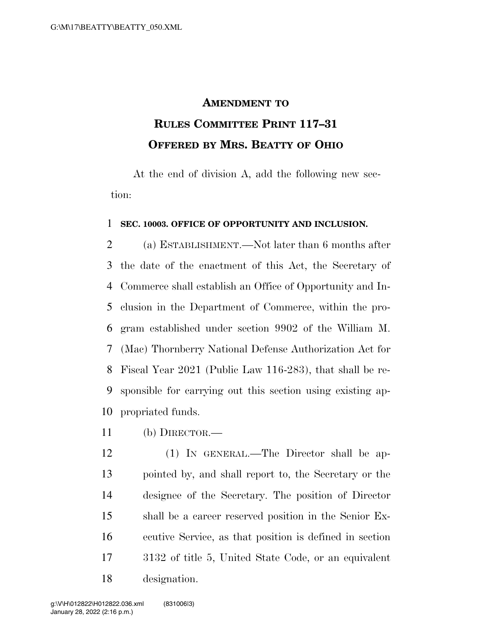## **AMENDMENT TO RULES COMMITTEE PRINT 117–31 OFFERED BY MRS. BEATTY OF OHIO**

At the end of division A, add the following new section:

## **SEC. 10003. OFFICE OF OPPORTUNITY AND INCLUSION.**

 (a) ESTABLISHMENT.—Not later than 6 months after the date of the enactment of this Act, the Secretary of Commerce shall establish an Office of Opportunity and In- clusion in the Department of Commerce, within the pro- gram established under section 9902 of the William M. (Mac) Thornberry National Defense Authorization Act for Fiscal Year 2021 (Public Law 116-283), that shall be re- sponsible for carrying out this section using existing ap-propriated funds.

(b) DIRECTOR.—

 (1) IN GENERAL.—The Director shall be ap- pointed by, and shall report to, the Secretary or the designee of the Secretary. The position of Director shall be a career reserved position in the Senior Ex- ecutive Service, as that position is defined in section 3132 of title 5, United State Code, or an equivalent designation.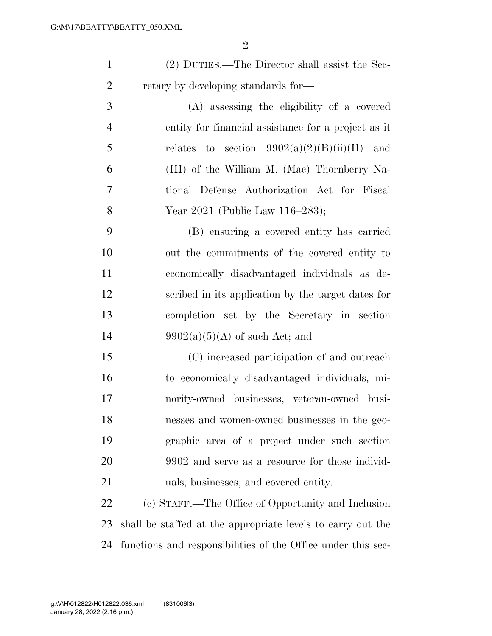(2) DUTIES.—The Director shall assist the Sec-2 retary by developing standards for

 (A) assessing the eligibility of a covered entity for financial assistance for a project as it 5 relates to section  $9902(a)(2)(B)(ii)(II)$  and (III) of the William M. (Mac) Thornberry Na- tional Defense Authorization Act for Fiscal Year 2021 (Public Law 116–283);

 (B) ensuring a covered entity has carried out the commitments of the covered entity to economically disadvantaged individuals as de- scribed in its application by the target dates for completion set by the Secretary in section  $9902(a)(5)(A)$  of such Act; and

 (C) increased participation of and outreach to economically disadvantaged individuals, mi- nority-owned businesses, veteran-owned busi- nesses and women-owned businesses in the geo- graphic area of a project under such section 20 9902 and serve as a resource for those individ-uals, businesses, and covered entity.

 (c) STAFF.—The Office of Opportunity and Inclusion shall be staffed at the appropriate levels to carry out the functions and responsibilities of the Office under this sec